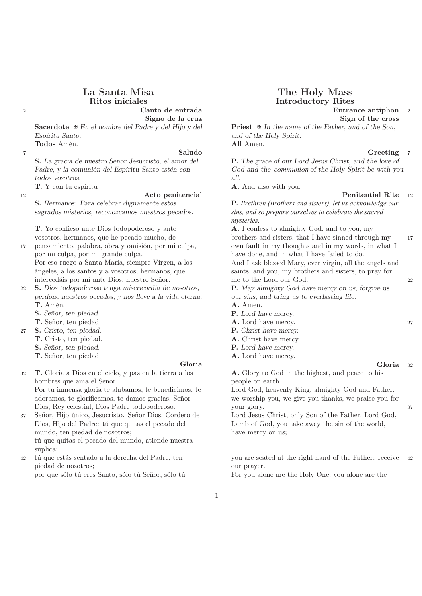<sup>2</sup> Canto de entrada Entrance antiphon <sup>2</sup> Signo de la cruz  $\qquad \qquad$  Sign of the cross

Espíritu Santo. and of the Holy Spirit. Todos Amén. **All Amen.** 

**2** Saludo  $\begin{bmatrix} 5 & 1 \end{bmatrix}$  Saludo  $\begin{bmatrix} 7 & 1 \end{bmatrix}$   $\begin{bmatrix} 1 & 1 \end{bmatrix}$   $\begin{bmatrix} 1 & 1 \end{bmatrix}$   $\begin{bmatrix} 1 & 1 \end{bmatrix}$   $\begin{bmatrix} 1 & 1 \end{bmatrix}$   $\begin{bmatrix} 1 & 1 \end{bmatrix}$   $\begin{bmatrix} 1 & 1 \end{bmatrix}$   $\begin{bmatrix} 1 & 1 \end{bmatrix}$   $\begin{bmatrix} 1 & 1 \end{bmatrix}$   $\begin{$ todos vosotros.  $all.$ 

sagrados misterios, reconozcamos nuestros pecados. *sins, and so prepare ourselves to celebrate the sacred*

T. Yo confieso ante Dios todopoderoso y ante  $\begin{array}{|c|c|c|c|c|c|} \hline \textbf{A. I} \textbf{ confess to almighty God, and to you, my}\end{array}$ 

por mi culpa, por mi grande culpa. have to have done, and in what I have failed to do.

intercedáis por mí ante Dios, nuestro Señor. me to the Lord our God. 22

- perdone nuestros pecados, y nos lleve a la vida eterna. our sins, and bring us to everlasting life. T. Amén. **A.** Amen.
	- S. Señor, ten piedad. P. Lord have mercy.
	- T. Señor, ten piedad. 27
- 27 S. Cristo, ten piedad. **P.** Christ have mercy.
	- T. Cristo, ten piedad.  $\overline{A}$ . Christ have mercy.
	- S. Señor, ten piedad. P. Lord have mercy.
	- T. Señor, ten piedad. A. Lord have mercy.

<sup>32</sup> T. Gloria a Dios en el cielo, y paz en la tierra a los A. Glory to God in the highest, and peace to his hombres que ama el Señor. people on earth.

Dios, Hijo del Padre: tú que quitas el pecado del Lamb of God, you take away the sin of the world, mundo, ten piedad de nosotros; have mercy on us; tú que quitas el pecado del mundo, atiende nuestra súplica;

piedad de nosotros; our prayer.

# La Santa Misa (The Holy Mass Ritos iniciales (The Holy Mass Introductory Rites) Introductory Rites

Sacerdote  $\mathcal F$  En el nombre del Padre y del Hijo y del Priest  $\mathcal F$  In the name of the Father, and of the Son,

S. La gracia de nuestro Señor Jesucristo, el amor del P. The grace of our Lord Jesus Christ, and the love of Padre, y la comunión del Espíritu Santo estén con God and the *communion* of the Holy Spirit be with you

T. Y con tu espíritu **A.** And also with you.

12 **Acto penitencial Penitential Rite** 12

S. Hermanos: Para celebrar dignamente estos P. *Brethren (Brothers and sisters), let us acknowledge our mysteries.*

vosotros, hermanos, que he pecado mucho, de brothers and sisters, that I have sinned through my 17 17 pensamiento, palabra, obra y omisión, por mi culpa, own fault in my thoughts and in my words, in what I

Por eso ruego a Santa María, siempre Virgen, a los And I ask blessed Mary, ever virgin, all the angels and ángeles, a los santos y a vosotros, hermanos, que saints, and you, my brothers and sisters, to pray for

22 S. Dios todopoderoso tenga misericordia de nosotros. P. May almighty God have mercy on us, forgive us

- 
- 
- 
- 
- 
- 

Gloria de Santa Correixa de Correixa de Correixa de Correixa de Correixa de Correixa de Correixa de Correixa d

Por tu inmensa gloria te alabamos, te benedicimos, te Lord God, heavenly King, almighty God and Father, adoramos, te glorificamos, te damos gracias, Señor we worship you, we give you thanks, we praise you for Dios, Rey celestial, Dios Padre todopoderoso. your glory. 37

37 Señor, Hijo único, Jesucristo. Señor Dios, Cordero de Lord Jesus Christ, only Son of the Father, Lord God,

<sup>42</sup> tú que estás sentado a la derecha del Padre, ten you are seated at the right hand of the Father: receive <sup>42</sup>

por que sólo tú eres Santo, sólo tú Señor, sólo tú For you alone are the Holy One, you alone are the

1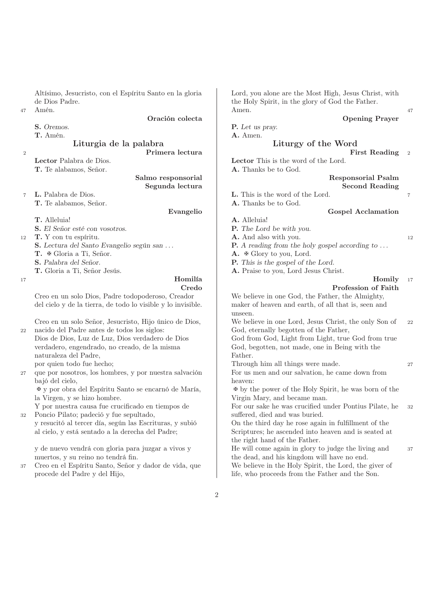Altísimo, Jesucristo, con el Espíritu Santo en la gloria Lord, you alone are the Most High, Jesus Christ, with de Dios Padre. the Holy Spirit, in the glory of God the Father.

|  | Oremos. |
|--|---------|
|--|---------|

<sup>2</sup> Primera lectura **Primera lectura** First Reading

T. Te alabamos, Señor. **A.** Thanks be to God.

Segunda lectura de de la condita de Second Reading

<sup>7</sup> L. Palabra de Dios. L. This is the word of the Lord. <sup>7</sup>

T. Te alabamos, Señor. **A.** Thanks be to God.

- 
- S. El Señor esté con vosotros. P. The Lord be with you.
- 12 T. Y con tu espíritu. 12 12 A. And also with you.
	-
	-
	-
	-

del cielo y de la tierra, de todo lo visible y lo invisible. maker of heaven and earth, of all that is, seen and

<sup>22</sup> nacido del Padre antes de todos los siglos: God, eternally begotten of the Father,

verdadero, engendrado, no creado, de la misma God, begotten, not made, one in Being with the naturaleza del Padre, Father.

bajó del cielo, heaven:

la Virgen, y se hizo hombre. Virgin Mary, and became man.

32 Poncio Pilato; padeció y fue sepultado, suffered, died and was buried.

y resucitó al tercer día, según las Escrituras, y subió On the third day he rose again in fulfillment of the al cielo, y está sentado a la derecha del Padre; Scriptures; he ascended into heaven and is seated at

muertos, y su reino no tendrá fin. the dead, and his kingdom will have no end.

procede del Padre y del Hijo, life, who proceeds from the Father and the Son.

<sup>47</sup> Amén. Amen. <sup>47</sup>

### Oración colecta Opening Prayer

P. Let us pray. T. Amén. **A.** Amen.

### Liturgia de la palabra Liturgy of the Word

Lector Palabra de Dios. **Lector This is the word of the Lord.** 

## Salmo responsorial and a Responsorial Psalm

- 
- Evangelio Gospel Acclamation

### T. Alleluia! A. Alleluia!

- 
- 
- S. Lectura del Santo Evangelio según san ... <br>P. A reading from the holy gospel according to ...
- T. **∗** Gloria a Ti, Señor. A. ∗ Glory to you, Lord.
- S. Palabra del Señor. P. This is the gospel of the Lord.
- T. Gloria a Ti, Señor Jesús. A. Praise to you, Lord Jesus Christ.

### 17 **Homilía Homilía Homilía Homil**

### Credo Profession of Faith

Creo en un solo Dios, Padre todopoderoso, Creador We believe in one God, the Father, the Almighty, unseen.

Creo en un solo Señor, Jesucristo, Hijo único de Dios, We believe in one Lord, Jesus Christ, the only Son of <sup>22</sup>

Dios de Dios, Luz de Luz, Dios verdadero de Dios God from God, Light from Light, true God from true

por quien todo fue hecho;  $\frac{1}{27}$  Through him all things were made. 27

<sup>27</sup> que por nosotros, los hombres, y por nuestra salvación For us men and our salvation, he came down from

✠ y por obra del Espíritu Santo se encarnó de María, ✠ by the power of the Holy Spirit, he was born of the

Y por nuestra causa fue crucificado en tiempos de For our sake he was crucified under Pontius Pilate, he 32

the right hand of the Father.

y de nuevo vendrá con gloria para juzgar a vivos y He will come again in glory to judge the living and 37 <sup>37</sup> Creo en el Espíritu Santo, Señor y dador de vida, que We believe in the Holy Spirit, the Lord, the giver of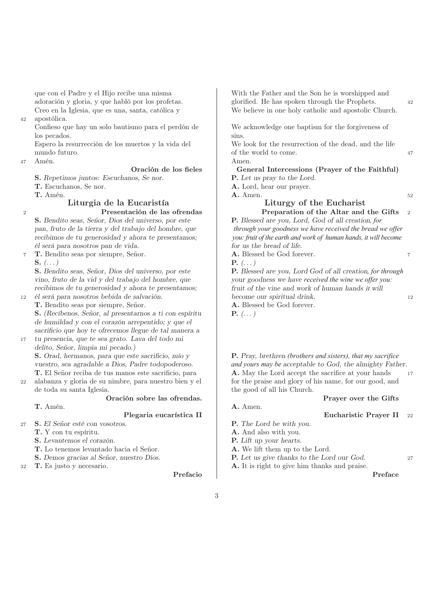que con el Padre y el Hijo recibe una misma With the Father and the Son he is worshipped and

<sup>42</sup> apostólica.

los pecados.  $\sinh$ 

<sup>47</sup> Amén. Amen.

S. Repetimos juntos: Escuchanos, Se nor. P. Let us pray to the Lord.

T. Escuchanos, Se nor. **A.** Lord, hear our prayer.

### Liturgia de la Eucaristía Liturgy of the Eucharist <sup>2</sup> Presentación de las ofrendas Preparation of the Altar and the Gifts <sup>2</sup>

S. Bendito seas, Señor, Dios del universo, por este P. Blessed are you, Lord, God of all creation*, for* él será para nosotros pan de vida.

<sup>7</sup> T. Bendito seas por siempre, Señor. A. Blessed be God forever. <sup>7</sup> S.  $(\ldots)$  P.  $(\ldots)$ 

vino, fruto de la vid y del trabajo del hombre, que your goodness we have *received the wine we offer you*:

T. Bendito seas por siempre, Señor. A. Blessed be God forever. S. (Recíbenos, Señor, al presentarnos a ti con espíritu $P. (\dots)$ de humildad y con el corazón arrepentido; y que el sacrificio que hoy te ofrecemos llegue de tal manera a

<sup>17</sup> tu presencia, que te sea grato. Lava del todo mi delito, Señor, limpia mi pecado.)

22 alabanza y gloria de su nimbre, para nuestro bien y el for the praise and glory of his name, for our good, and de toda su santa Iglesia. the good of all his Church.

# T. Amén. **A.** Amen.

- <sup>27</sup> S. El Señor esté con vosotros. P. The Lord be with you.
	-
	- S. Levantemos el corazón. P. Lift up your hearts.
	- T. Lo tenemos levantado hacia el Señor. A. We lift them up to the Lord.
	-
- 

adoración y gloria, y que habló por los profetas. glorified. He has spoken through the Prophets. <sup>42</sup> Creo en la Iglesia, que es una, santa, católica y We believe in one holy catholic and apostolic Church.

Confieso que hay un solo bautismo para el perdón de We acknowledge one baptism for the forgiveness of

Espero la resurrección de los muertos y la vida del We look for the resurrection of the dead, and the life mundo futuro.  $\qquad \qquad$  47

### Oración de los fieles (General Intercessions (Prayer of the Faithful)

**T.** Amén. 52

pan, fruto de la tierra y del trabajo del hombre, que *through your goodness we have received the bread we offer* recibimos de tu generosidad y ahora te presentamos; *you: fruit of the earth and work of human hands, it will become*<br> *i* será para nosotros pan de vida.<br> **i** será para nosotros pan de vida.

S. Bendito seas, Señor, Dios del universo, por este P. Blessed are you, Lord God of all creation*, for through* recibimos de tu generosidad y ahora te presentamos; fruit of the vine and work of human hands *it* will become our spiritual drink. <sup>12</sup> él será para nosotros bebida de salvación. become our spiritual drink. <sup>12</sup>

S. Orad, hermanos, para que este sacrificio, mío y P. Pray, brethren *(brothers and sisters), that my sacrifice* vuestro, sea agradable a Dios, Padre todopoderoso. *and yours may be* acceptable to God, the almighty Father. T. El Señor reciba de tus manos este sacrificio, para  $\vert$  **A.** May the Lord accept the sacrifice at your hands 17

# Oración sobre las ofrendas. Prayer over the Gifts

# Plegaria eucarística II d'ann ann an Eucharistic Prayer II 22

- 
- T. Y con tu espíritu. A. And also with you.
	-
	-
- S. Demos gracias al Señor, nuestro Dios. P. Let us give thanks to the Lord our God. <sup>27</sup>
- 32 T. Es justo y necesario. A. It is right to give him thanks and praise.

Prefacio de Preface de Preface de Preface de Preface de Preface de Preface de Preface de Preface de Preface de Preface de Preface de Preface de Preface de Preface de Preface de Preface de Preface de Preface de Preface de P

- 
- -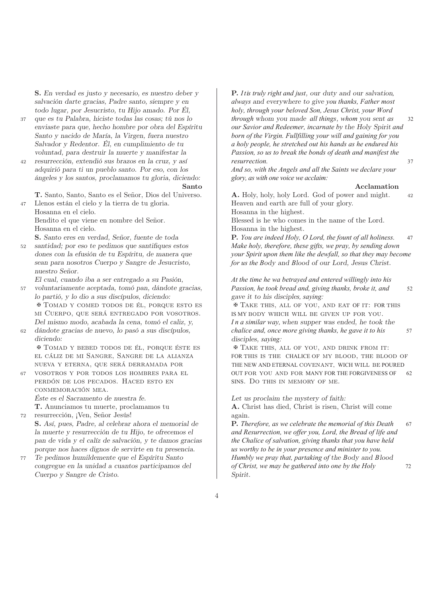S. En verdad es justo y necesario, es nuestro deber y **P.** *It is truly right and just*, our duty and our salvation, todo lugar, por Jesucristo, tu Hijo amado. Por Él, *holy, through your beloved Son, Jesus Christ, your Word*

- 
- adquirió para ti un pueblo santo. Por eso, con los *And so, with the Angels and all the Saints we declare your* ángeles y los santos, proclamamos tu gloria, diciendo: *glory, as with one voice we acclaim:*

<sup>47</sup> Llenos están el cielo y la tierra de tu gloria. Heaven and earth are full of your glory.

Bendito el que viene en nombre del Señor. Blessed is he who comes in the name of the Lord. Hosanna en el cielo. Hosanna in the highest.

nuestro Señor.

- <sup>57</sup> voluntariamente aceptada, tomó pan, dándote gracias, *Passion, he took bread and, giving thanks, broke it, and* 52 lo partió, y lo dio a sus discípulos, diciendo: gave it to his disciple*s, saying:* ✠ Tomad y comed todos de él, porque esto es ✠ Take this, all of you, and eat OF it: FOR this mi Cuerpo, que será entregado por vosotros. I IS MY BODY WHICH WILL BE GIVEN UP FOR YOU.
- diciendo: disciples, *saying:*

✠ Tomad y bebed todos de él, porque éste es ✠ Take this, all of you, and drink from it:

perdón de los pecados. Haced esto en SINS. Do this in memory of me. conmemoración mea.

<sup>72</sup> resurrección, ¡Ven, Señor Jesús! again.

S. Así, pues, Padre, al celebrar ahora el memorial de **P.** *Therefore, as we celebrate the memorial of this Death* 67 pan de vida y el calíz de salvación, y te damos gracias *the Chalice of salvation, giving thanks that you have held* porque nos haces dignos de servirte en tu presencia. *us worthy to be in your presence and minister to you.*

Cuerpo y Sangre de Cristo. Spirit.

salvación darte gracias, Padre santo, siempre y en *always* and everywhere to give *you thanks, Father most* <sup>37</sup> que es tu Palabra, hiciste todas las cosas; tú nos lo *through* whom you made *all things*, *whom* you sent *as* 32 enviaste para que, hecho hombre por obra del Espíritu *our Savior and Redeemer, incarnate by* the Holy Spirit *and* Santo y nacido de María, la Virgen, fuera nuestro *born of the Virgin. Fullfilling your will and gaining for you* Salvador y Redentor. Él, en cumplimiento de tu *a holy people, he stretched out his hands as he endured his* voluntad, para destruir la muerte y manifestar la *Passion, so us to break the bonds of death and manifest the* <sup>42</sup> resurrección, extendió sus brazos en la cruz, y así *resurrection.* 37

### Santo Acclamation

T. Santo, Santo, Santo es el Señor, Dios del Universo. A. Holy, holy, holy Lord. God of power and might. <sup>42</sup> Hosanna en el cielo. Hosanna in the highest.

S. Santo eres en verdad, Señor, fuente de toda P. *You are indeed Holy, O Lord, the fount of all holiness.* 47 <sup>52</sup> santidad; por eso te pedimos que santifiques estos *Make holy, therefore, these gifts, we pray, by sending down* dones con la efusión de tu Espíritu, de manera que *your Spirit upon them like the dewfall, so that they may become* sean para nosotros Cuerpo y Sangre de Jesucristo, *for us the B*ody and *B*lood of our Lord, Jesus Christ.

El cual, cuando iba a ser entregado a su Pasión, *At the time he wa betrayed and entered willingly into his*

Del mismo modo, acabada la cena, tomó el caliz, y, *I n a similar way, w*hen supper was ended, he took the <sup>62</sup> dándote gracias de nuevo, lo pasó a sus discípulos, *chalice and, once more giving thanks, he gave it to his* 57

el cáliz de mi Sangre, Sangre de la alianza FOR this is the CHALICE of my blood, the blood of nueva y eterna, que será derramada por THE NEW AND ETERNAL covenant, WICH will be POURED <sup>67</sup> vosotros y por todos los hombres para el OUT for you and for MANY FOR THE FORGIVENESS OF 62

Éste es el Sacramento de nuestra fe. Let us proclaim the mystery of faith:

T. Anunciamos tu muerte, proclamamos tu **A.** Christ has died, Christ is risen, Christ will come

la muerte y resurrección de tu Hijo, te ofrecemos el *and Resurrection, we offer you, Lord, the Bread of life and* <sup>77</sup> Te pedimos humildemente que el Espíritu Santo *Humbly we pray that, partaking of* the *B*ody and *B*lood congregue en la unidad a cuantos participamos del *of Christ, we may be gathered into one by the Holy* 72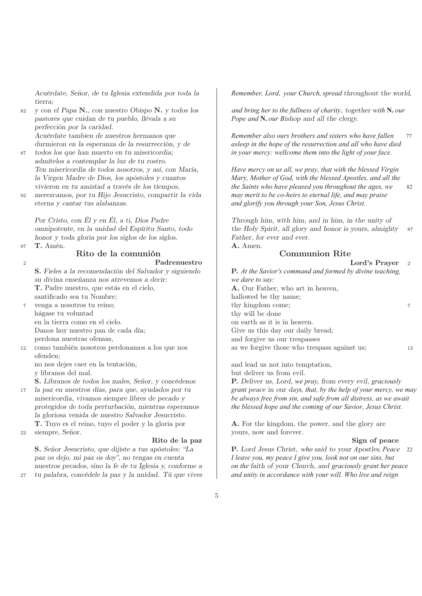tierra;

pastores que cuidan de tu pueblo, llévala a su *Pope and* **N.** *our B*ishop and all the clergy. perfección por la caridad.

- admítelos a contemplar la luz de tu rostro. Ten misericordia de todos nosotros, y así, con María, *Have mercy on us all, we pray, that with the blessed Virgin*
- <sup>92</sup> merezcamos, por tu Hijo Jesucristo, compartir la vida *may merit to be co-heirs to eternal life, and may praise* eterna y cantar tus alabanzas. *and glorify you through your Son, Jesus Christ.*

honor y toda gloria por los siglos de los siglos. Father, for ever and ever.

97  $\mathbf{T.}$  Amén.  $\qquad \qquad \qquad \mathbf{A.}$  Amen.

### Rito de la comunión Communion Rite

12 como también nosotros perdonamos a los que nos ofenden;

v líbranos del mal. but deliver us from evil.

la gloriosa venida de nuestro Salvador Jesucristo. **T.** Tuyo es el reino, tuyo el poder y la gloria por  $\overline{A}$ . For the kingdom, the power, and the glory are

### Rito de la paz  $\qquad \qquad$  Sign of peace

S. Señor Jesucristo, que dijiste a tus apóstoles: "La P. Lord Jesus Christ, *who* said to your *A*postles*, Peace* 22 paz os dejo, mi paz os doy", no tengas en cuenta *I leave you, my peace I give you, look not on our sins, but*

Acuérdate, Señor, de tu Iglesia extendida por toda la *Remember, Lord, your Church, spread throughout the world,* 

<sup>82</sup> y con el Papa N., con nuestro Obispo N. y todos los *and bring her to the fullness of charity*, together *with* **N.** *our*

Acuérdate tambien de nuestros hermanos que *Remember also ours brothers and sisters who have fallen* 77 durmieron en la esperanza de la resurrección, y de *asleep in the hope of the resurrection and all who have died* <sup>87</sup> todos los que han muerto en tu misericordia; *in your mercy: wellcome them into the light of your face.*

la Virgen Madre de Dios, los apóstoles y cuantos *Mary, Mother of God, with the blessed Apostles, and all the* vivieron en tu amistad a través de los tiempos, *the Saints who have pleased you throughout the ages, we* 82

Por Cristo, con Él y en Él, a ti, Dios Padre Through him, with him, and in him, in the unity of omnipotente, en la unidad del Espíritu Santo, todo the Holy Spirit, all glory and honor is yours, almighty 87

| Padrenuestro                                          | Lord's Prayer $2$                                         |    |
|-------------------------------------------------------|-----------------------------------------------------------|----|
| S. Fieles a la recomendación del Salvador y siguiendo | P. At the Savior's command and formed by divine teaching, |    |
| su divina enseñanza nos atrevemos a decir:            | we dare to say:                                           |    |
| <b>T.</b> Padre nuestro, que estás en el cielo,       | A. Our Father, who art in heaven,                         |    |
| santificado sea tu Nombre;                            | hallowed be thy name;                                     |    |
| venga a nosotros tu reino;                            | thy kingdom come;                                         | 7  |
| hágase tu voluntad                                    | thy will be done                                          |    |
| en la tierra como en el cielo.                        | on earth as it is in heaven.                              |    |
| Danos hoy nuestro pan de cada día;                    | Give us this day our daily bread;                         |    |
| perdona nuestras ofensas,                             | and forgive us our trespasses                             |    |
| 2 como también nosotros perdonamos a los que nos      | as we forgive those who trespass against us;              | 12 |
|                                                       |                                                           |    |

no nos dejes caer en la tentación, and lead us not into temptation,

S. Líbranos de todos los males, Señor, y concédenos P. Deliver us, Lord, *we pray,* from every evil, *graciously* <sup>17</sup> la paz en nuestros días, para que, ayudados por tu *grant* peace in our day*s, that, by the help of your mercy, we may* misericordia, vivamos siempre libres de pecado y *be always free from sin, and safe from all distress, as we await* protegidos de toda perturbación, mientras esperamos *the blessed hope and the coming of our Savior, Jesus Christ.*

22 siempre, Señor. yours, now and forever.

nuestros pecados, sino la fe de tu Iglesia y, conforme a *on the* faith of your Church, and *graciously grant her peace* <sup>27</sup> tu palabra, concédele la paz y la unidad. Tú que vives *and unity in accordance with your will. Who live and reign*